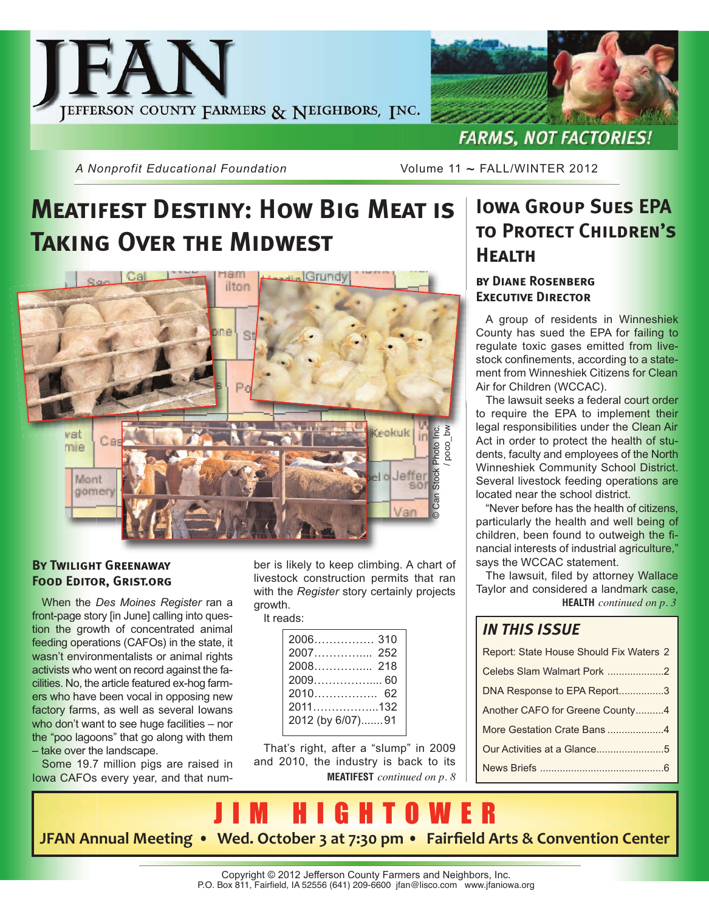



*A Nonprofit Educational Foundation* Volume 11 ~ FALL/WINTER 2012

# **Meatifest Destiny: How Big Meat is Taking Over the Midwest**



### **By Twilight Greenaway Food Editor, Grist.org**

When the *Des Moines Register* ran a front-page story [in June] calling into question the growth of concentrated animal feeding operations (CAFOs) in the state, it wasn't environmentalists or animal rights activists who went on record against the facilities. No, the article featured ex-hog farmers who have been vocal in opposing new factory farms, as well as several Iowans who don't want to see huge facilities – nor the "poo lagoons" that go along with them – take over the landscape.

Some 19.7 million pigs are raised in Iowa CAFOs every year, and that num-

ber is likely to keep climbing. A chart of livestock construction permits that ran with the *Register* story certainly projects growth.

### It reads:

| $2010$<br>62     |
|------------------|
| 2011132          |
| 2012 (by 6/07)91 |
|                  |

**MEATIFEST** *continued on p. 8* That's right, after a "slump" in 2009 and 2010, the industry is back to its

### **Iowa Group Sues EPA to Protect Children's Health**

### **by Diane Rosenberg Executive Director**

A group of residents in Winneshiek County has sued the EPA for failing to regulate toxic gases emitted from livestock confinements, according to a statement from Winneshiek Citizens for Clean Air for Children (WCCAC).

The lawsuit seeks a federal court order to require the EPA to implement their legal responsibilities under the Clean Air Act in order to protect the health of students, faculty and employees of the North Winneshiek Community School District. Several livestock feeding operations are located near the school district.

"Never before has the health of citizens, particularly the health and well being of children, been found to outweigh the financial interests of industrial agriculture," says the WCCAC statement.

The lawsuit, filed by attorney Wallace Taylor and considered a landmark case, **HEALTH** *continued on p. 3*

### *IN THIS ISSUE*

| Report: State House Should Fix Waters 2 |  |
|-----------------------------------------|--|
| Celebs Slam Walmart Pork 2              |  |
| DNA Response to EPA Report3             |  |
| Another CAFO for Greene County4         |  |
| More Gestation Crate Bans 4             |  |
| Our Activities at a Glance5             |  |
|                                         |  |
|                                         |  |

J I M H I G H T O W E R **JFAN Annual Meeting • Wed. October 3 at 7:30 pm • Fairfield Arts & Convention Center**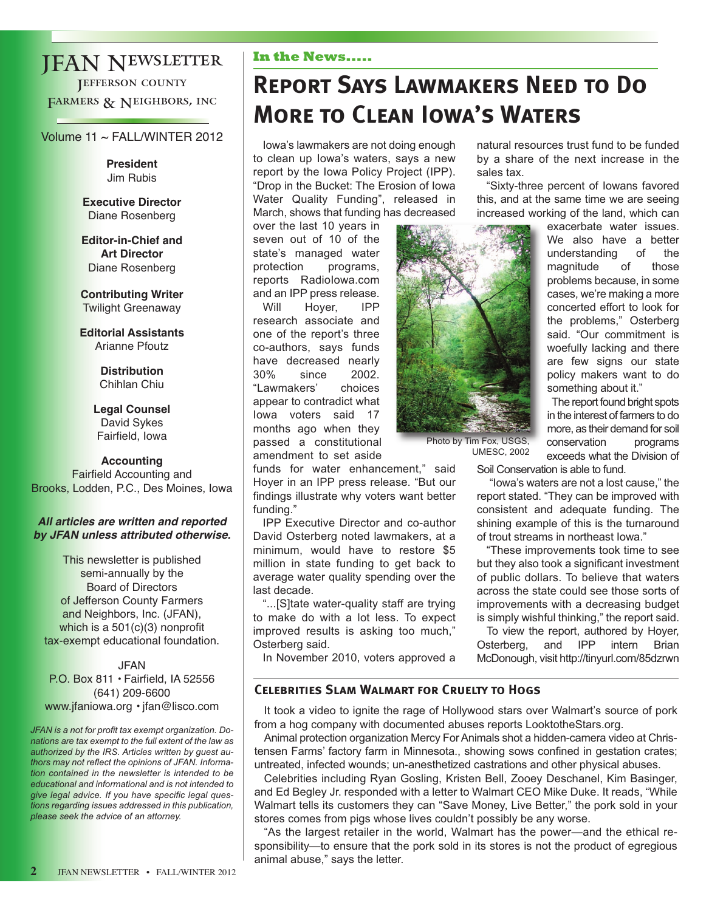### JFAN Newsletter **JEFFERSON COUNTY** FARMERS & NEIGHBORS, INC

### Volume 11 ~ FALL/WINTER 2012

**President** Jim Rubis

**Executive Director** Diane Rosenberg

**Editor-in-Chief and Art Director** Diane Rosenberg

**Contributing Writer** Twilight Greenaway

**Editorial Assistants** Arianne Pfoutz

> **Distribution** Chihlan Chiu

**Legal Counsel** David Sykes Fairfield, Iowa

#### **Accounting**

Fairfield Accounting and Brooks, Lodden, P.C., Des Moines, Iowa

### **All articles are written and reported by JFAN unless attributed otherwise.**

This newsletter is published semi-annually by the Board of Directors of Jefferson County Farmers and Neighbors, Inc. (JFAN), which is a 501(c)(3) nonprofit tax-exempt educational foundation.

JFAN P.O. Box 811 • Fairfield, IA 52556 (641) 209-6600 www.jfaniowa.org • jfan@lisco.com

*JFAN is a not for profit tax exempt organization. Donations are tax exempt to the full extent of the law as authorized by the IRS. Articles written by guest authors may not reflect the opinions of JFAN. Information contained in the newsletter is intended to be educational and informational and is not intended to give legal advice. If you have specific legal questions regarding issues addressed in this publication, please seek the advice of an attorney.*

### **In the News.....**

# **Report Says Lawmakers Need to Do More to Clean Iowa's Waters**

Iowa's lawmakers are not doing enough to clean up Iowa's waters, says a new report by the Iowa Policy Project (IPP). "Drop in the Bucket: The Erosion of Iowa Water Quality Funding", released in March, shows that funding has decreased

over the last 10 years in seven out of 10 of the state's managed water protection programs, reports RadioIowa.com and an IPP press release. Will Hoyer, IPP research associate and one of the report's three co-authors, says funds have decreased nearly 30% since 2002. "Lawmakers' choices appear to contradict what Iowa voters said 17 months ago when they passed a constitutional amendment to set aside

funds for water enhancement," said Hoyer in an IPP press release. "But our findings illustrate why voters want better funding."

IPP Executive Director and co-author David Osterberg noted lawmakers, at a minimum, would have to restore \$5 million in state funding to get back to average water quality spending over the last decade.

"...[S]tate water-quality staff are trying to make do with a lot less. To expect improved results is asking too much," Osterberg said.

In November 2010, voters approved a

natural resources trust fund to be funded by a share of the next increase in the sales tax.

"Sixty-three percent of Iowans favored this, and at the same time we are seeing increased working of the land, which can

Photo by Tim Fox, USGS, UMESC, 2002 exacerbate water issues. We also have a better understanding of the magnitude of those problems because, in some cases, we're making a more concerted effort to look for the problems," Osterberg said. "Our commitment is woefully lacking and there are few signs our state

The report found bright spots in the interest of farmers to do more, as their demand for soil conservation programs exceeds what the Division of

policy makers want to do

something about it."

Soil Conservation is able to fund.

"Iowa's waters are not a lost cause," the report stated. "They can be improved with consistent and adequate funding. The shining example of this is the turnaround of trout streams in northeast Iowa."

"These improvements took time to see but they also took a significant investment of public dollars. To believe that waters across the state could see those sorts of improvements with a decreasing budget is simply wishful thinking," the report said.

To view the report, authored by Hoyer, Osterberg, and IPP intern Brian McDonough, visit http://tinyurl.com/85dzrwn

### **Celebrities Slam Walmart for Cruelty to Hogs**

It took a video to ignite the rage of Hollywood stars over Walmart's source of pork from a hog company with documented abuses reports LooktotheStars.org.

Animal protection organization Mercy For Animals shot a hidden-camera video at Christensen Farms' factory farm in Minnesota., showing sows confined in gestation crates; untreated, infected wounds; un-anesthetized castrations and other physical abuses.

Celebrities including Ryan Gosling, Kristen Bell, Zooey Deschanel, Kim Basinger, and Ed Begley Jr. responded with a letter to Walmart CEO Mike Duke. It reads, "While Walmart tells its customers they can "Save Money, Live Better," the pork sold in your stores comes from pigs whose lives couldn't possibly be any worse.

"As the largest retailer in the world, Walmart has the power—and the ethical responsibility—to ensure that the pork sold in its stores is not the product of egregious animal abuse," says the letter.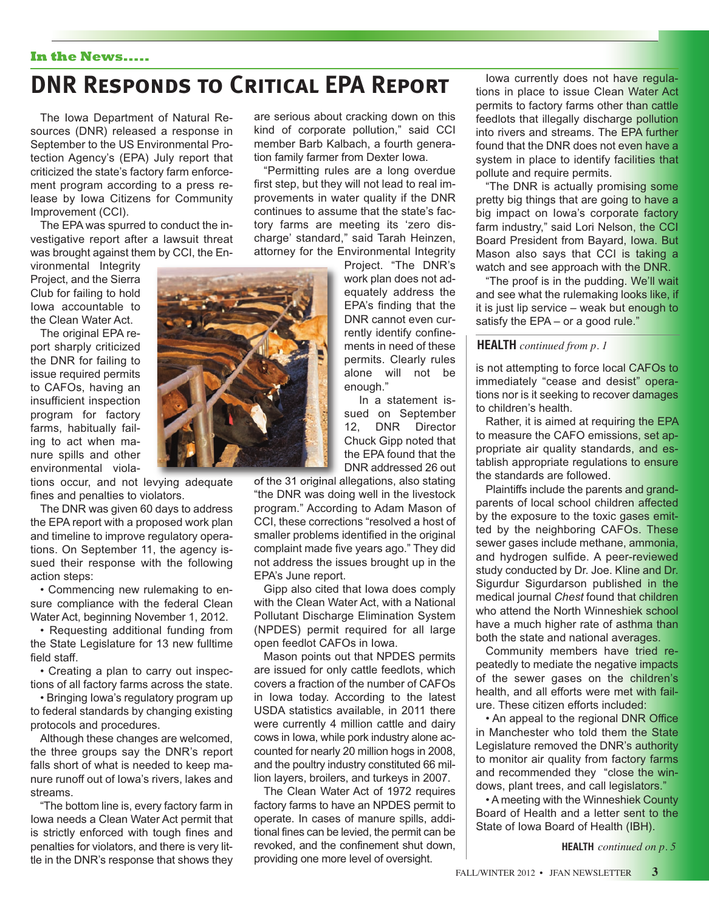#### **In the News.....**

### **DNR Responds to Critical EPA Report**

The Iowa Department of Natural Resources (DNR) released a response in September to the US Environmental Protection Agency's (EPA) July report that criticized the state's factory farm enforcement program according to a press release by Iowa Citizens for Community Improvement (CCI).

The EPA was spurred to conduct the investigative report after a lawsuit threat was brought against them by CCI, the En-

vironmental Integrity Project, and the Sierra Club for failing to hold Iowa accountable to the Clean Water Act.

The original EPA report sharply criticized the DNR for failing to issue required permits to CAFOs, having an insufficient inspection program for factory farms, habitually failing to act when manure spills and other environmental viola-

tions occur, and not levying adequate fines and penalties to violators.

The DNR was given 60 days to address the EPA report with a proposed work plan and timeline to improve regulatory operations. On September 11, the agency issued their response with the following action steps:

• Commencing new rulemaking to ensure compliance with the federal Clean Water Act, beginning November 1, 2012.

• Requesting additional funding from the State Legislature for 13 new fulltime field staff.

• Creating a plan to carry out inspections of all factory farms across the state.

• Bringing Iowa's regulatory program up to federal standards by changing existing protocols and procedures.

Although these changes are welcomed, the three groups say the DNR's report falls short of what is needed to keep manure runoff out of Iowa's rivers, lakes and streams.

"The bottom line is, every factory farm in Iowa needs a Clean Water Act permit that is strictly enforced with tough fines and penalties for violators, and there is very little in the DNR's response that shows they

are serious about cracking down on this kind of corporate pollution," said CCI member Barb Kalbach, a fourth generation family farmer from Dexter Iowa.

"Permitting rules are a long overdue first step, but they will not lead to real improvements in water quality if the DNR continues to assume that the state's factory farms are meeting its 'zero discharge' standard," said Tarah Heinzen, attorney for the Environmental Integrity

Project. "The DNR's work plan does not adequately address the EPA's finding that the DNR cannot even currently identify confinements in need of these permits. Clearly rules alone will not be enough."

In a statement issued on September 12, DNR Director Chuck Gipp noted that the EPA found that the DNR addressed 26 out

of the 31 original allegations, also stating "the DNR was doing well in the livestock program." According to Adam Mason of CCI, these corrections "resolved a host of smaller problems identified in the original complaint made five years ago." They did not address the issues brought up in the EPA's June report.

Gipp also cited that Iowa does comply with the Clean Water Act, with a National Pollutant Discharge Elimination System (NPDES) permit required for all large open feedlot CAFOs in Iowa.

Mason points out that NPDES permits are issued for only cattle feedlots, which covers a fraction of the number of CAFOs in Iowa today. According to the latest USDA statistics available, in 2011 there were currently 4 million cattle and dairy cows in Iowa, while pork industry alone accounted for nearly 20 million hogs in 2008, and the poultry industry constituted 66 million layers, broilers, and turkeys in 2007.

The Clean Water Act of 1972 requires factory farms to have an NPDES permit to operate. In cases of manure spills, additional fines can be levied, the permit can be revoked, and the confinement shut down, providing one more level of oversight.

Iowa currently does not have regulations in place to issue Clean Water Act permits to factory farms other than cattle feedlots that illegally discharge pollution into rivers and streams. The EPA further found that the DNR does not even have a system in place to identify facilities that pollute and require permits.

"The DNR is actually promising some pretty big things that are going to have a big impact on Iowa's corporate factory farm industry," said Lori Nelson, the CCI Board President from Bayard, Iowa. But Mason also says that CCI is taking a watch and see approach with the DNR.

"The proof is in the pudding. We'll wait and see what the rulemaking looks like, if it is just lip service – weak but enough to satisfy the EPA – or a good rule."

#### **HEALTH** *continued from p. 1*

is not attempting to force local CAFOs to immediately "cease and desist" operations nor is it seeking to recover damages to children's health.

Rather, it is aimed at requiring the EPA to measure the CAFO emissions, set appropriate air quality standards, and establish appropriate regulations to ensure the standards are followed.

Plaintiffs include the parents and grandparents of local school children affected by the exposure to the toxic gases emitted by the neighboring CAFOs. These sewer gases include methane, ammonia, and hydrogen sulfide. A peer-reviewed study conducted by Dr. Joe. Kline and Dr. Sigurdur Sigurdarson published in the medical journal *Chest* found that children who attend the North Winneshiek school have a much higher rate of asthma than both the state and national averages.

Community members have tried repeatedly to mediate the negative impacts of the sewer gases on the children's health, and all efforts were met with failure. These citizen efforts included:

• An appeal to the regional DNR Office in Manchester who told them the State Legislature removed the DNR's authority to monitor air quality from factory farms and recommended they "close the windows, plant trees, and call legislators."

• A meeting with the Winneshiek County Board of Health and a letter sent to the State of Iowa Board of Health (IBH).

**HEALTH** *continued on p. 5*

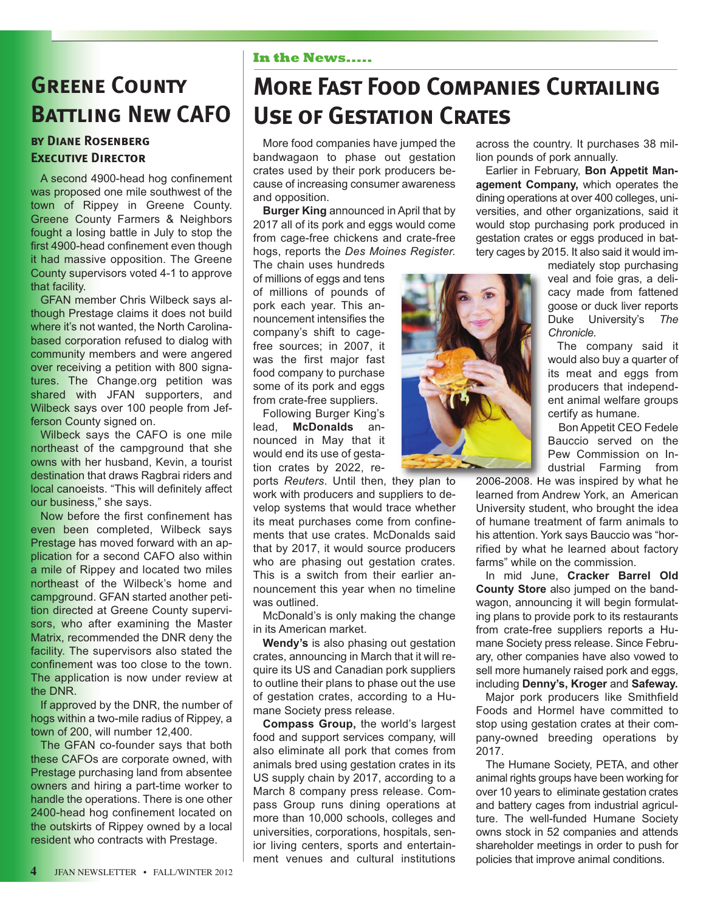## **Greene County BATTLING NEW CAFO**

### **by Diane Rosenberg EXECUTIVE DIRECTOR**

A second 4900-head hog confinement was proposed one mile southwest of the town of Rippey in Greene County. Greene County Farmers & Neighbors fought a losing battle in July to stop the first 4900-head confinement even though it had massive opposition. The Greene County supervisors voted 4-1 to approve that facility.

GFAN member Chris Wilbeck says although Prestage claims it does not build where it's not wanted, the North Carolinabased corporation refused to dialog with community members and were angered over receiving a petition with 800 signatures. The Change.org petition was shared with JFAN supporters, and Wilbeck says over 100 people from Jefferson County signed on.

Wilbeck says the CAFO is one mile northeast of the campground that she owns with her husband, Kevin, a tourist destination that draws Ragbrai riders and local canoeists. "This will definitely affect our business," she says.

Now before the first confinement has even been completed, Wilbeck says Prestage has moved forward with an application for a second CAFO also within a mile of Rippey and located two miles northeast of the Wilbeck's home and campground. GFAN started another petition directed at Greene County supervisors, who after examining the Master Matrix, recommended the DNR deny the facility. The supervisors also stated the confinement was too close to the town. The application is now under review at the DNR.

If approved by the DNR, the number of hogs within a two-mile radius of Rippey, a town of 200, will number 12,400.

The GFAN co-founder says that both these CAFOs are corporate owned, with Prestage purchasing land from absentee owners and hiring a part-time worker to handle the operations. There is one other 2400-head hog confinement located on the outskirts of Rippey owned by a local resident who contracts with Prestage.

### **In the News.....**

# **More Fast Food Companies Curtailing Use of Gestation Crates**

More food companies have jumped the bandwagaon to phase out gestation crates used by their pork producers because of increasing consumer awareness and opposition.

**Burger King** announced in April that by 2017 all of its pork and eggs would come from cage-free chickens and crate-free hogs, reports the *Des Moines Register.*

The chain uses hundreds of millions of eggs and tens of millions of pounds of pork each year. This announcement intensifies the company's shift to cagefree sources; in 2007, it was the first major fast food company to purchase some of its pork and eggs from crate-free suppliers.

Following Burger King's lead, **McDonalds** announced in May that it would end its use of gestation crates by 2022, re-

ports *Reuters*. Until then, they plan to work with producers and suppliers to develop systems that would trace whether its meat purchases come from confinements that use crates. McDonalds said that by 2017, it would source producers who are phasing out gestation crates. This is a switch from their earlier announcement this year when no timeline was outlined.

McDonald's is only making the change in its American market.

**Wendy's** is also phasing out gestation crates, announcing in March that it will require its US and Canadian pork suppliers to outline their plans to phase out the use of gestation crates, according to a Humane Society press release.

**Compass Group,** the world's largest food and support services company, will also eliminate all pork that comes from animals bred using gestation crates in its US supply chain by 2017, according to a March 8 company press release. Compass Group runs dining operations at more than 10,000 schools, colleges and universities, corporations, hospitals, senior living centers, sports and entertainment venues and cultural institutions



across the country. It purchases 38 million pounds of pork annually.

Earlier in February, **Bon Appetit Management Company,** which operates the dining operations at over 400 colleges, universities, and other organizations, said it would stop purchasing pork produced in gestation crates or eggs produced in battery cages by 2015. It also said it would im-

mediately stop purchasing veal and foie gras, a delicacy made from fattened goose or duck liver reports Duke University's *The Chronicle.*

The company said it would also buy a quarter of its meat and eggs from producers that independent animal welfare groups certify as humane.

Bon Appetit CEO Fedele Bauccio served on the Pew Commission on Industrial Farming from

2006-2008. He was inspired by what he learned from Andrew York, an American University student, who brought the idea of humane treatment of farm animals to his attention. York says Bauccio was "horrified by what he learned about factory farms" while on the commission.

In mid June, **Cracker Barrel Old County Store** also jumped on the bandwagon, announcing it will begin formulating plans to provide pork to its restaurants from crate-free suppliers reports a Humane Society press release. Since February, other companies have also vowed to sell more humanely raised pork and eggs, including **Denny's, Kroger** and **Safeway.**

Major pork producers like Smithfield Foods and Hormel have committed to stop using gestation crates at their company-owned breeding operations by 2017.

The Humane Society, PETA, and other animal rights groups have been working for over 10 years to eliminate gestation crates and battery cages from industrial agriculture. The well-funded Humane Society owns stock in 52 companies and attends shareholder meetings in order to push for policies that improve animal conditions.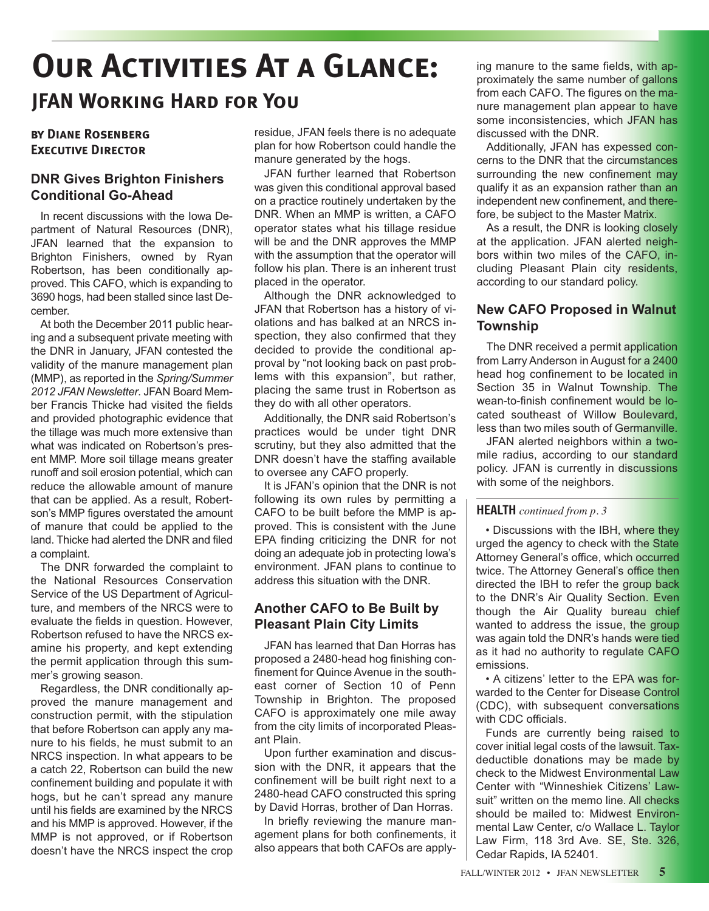# **Our Activities At a Glance: JFAN Working Hard for You**

### **by Diane Rosenberg Executive Director**

### **DNR Gives Brighton Finishers Conditional Go-Ahead**

In recent discussions with the Iowa Department of Natural Resources (DNR), JFAN learned that the expansion to Brighton Finishers, owned by Ryan Robertson, has been conditionally approved. This CAFO, which is expanding to 3690 hogs, had been stalled since last December.

At both the December 2011 public hearing and a subsequent private meeting with the DNR in January, JFAN contested the validity of the manure management plan (MMP), as reported in the *Spring/Summer 2012 JFAN Newsletter*. JFAN Board Member Francis Thicke had visited the fields and provided photographic evidence that the tillage was much more extensive than what was indicated on Robertson's present MMP. More soil tillage means greater runoff and soil erosion potential, which can reduce the allowable amount of manure that can be applied. As a result, Robertson's MMP figures overstated the amount of manure that could be applied to the land. Thicke had alerted the DNR and filed a complaint.

The DNR forwarded the complaint to the National Resources Conservation Service of the US Department of Agriculture, and members of the NRCS were to evaluate the fields in question. However, Robertson refused to have the NRCS examine his property, and kept extending the permit application through this summer's growing season.

Regardless, the DNR conditionally approved the manure management and construction permit, with the stipulation that before Robertson can apply any manure to his fields, he must submit to an NRCS inspection. In what appears to be a catch 22, Robertson can build the new confinement building and populate it with hogs, but he can't spread any manure until his fields are examined by the NRCS and his MMP is approved. However, if the MMP is not approved, or if Robertson doesn't have the NRCS inspect the crop

residue, JFAN feels there is no adequate plan for how Robertson could handle the manure generated by the hogs.

JFAN further learned that Robertson was given this conditional approval based on a practice routinely undertaken by the DNR. When an MMP is written, a CAFO operator states what his tillage residue will be and the DNR approves the MMP with the assumption that the operator will follow his plan. There is an inherent trust placed in the operator.

Although the DNR acknowledged to JFAN that Robertson has a history of violations and has balked at an NRCS inspection, they also confirmed that they decided to provide the conditional approval by "not looking back on past problems with this expansion", but rather, placing the same trust in Robertson as they do with all other operators.

Additionally, the DNR said Robertson's practices would be under tight DNR scrutiny, but they also admitted that the DNR doesn't have the staffing available to oversee any CAFO properly.

It is JFAN's opinion that the DNR is not following its own rules by permitting a CAFO to be built before the MMP is approved. This is consistent with the June EPA finding criticizing the DNR for not doing an adequate job in protecting Iowa's environment. JFAN plans to continue to address this situation with the DNR.

### **Another CAFO to Be Built by Pleasant Plain City Limits**

JFAN has learned that Dan Horras has proposed a 2480-head hog finishing confinement for Quince Avenue in the southeast corner of Section 10 of Penn Township in Brighton. The proposed CAFO is approximately one mile away from the city limits of incorporated Pleasant Plain.

Upon further examination and discussion with the DNR, it appears that the confinement will be built right next to a 2480-head CAFO constructed this spring by David Horras, brother of Dan Horras.

In briefly reviewing the manure management plans for both confinements, it also appears that both CAFOs are apply-

ing manure to the same fields, with approximately the same number of gallons from each CAFO. The figures on the manure management plan appear to have some inconsistencies, which JFAN has discussed with the DNR.

Additionally, JFAN has expessed concerns to the DNR that the circumstances surrounding the new confinement may qualify it as an expansion rather than an independent new confinement, and therefore, be subject to the Master Matrix.

As a result, the DNR is looking closely at the application. JFAN alerted neighbors within two miles of the CAFO, including Pleasant Plain city residents, according to our standard policy.

### **New CAFO Proposed in Walnut Township**

The DNR received a permit application from Larry Anderson in August for a 2400 head hog confinement to be located in Section 35 in Walnut Township. The wean-to-finish confinement would be located southeast of Willow Boulevard, less than two miles south of Germanville.

JFAN alerted neighbors within a twomile radius, according to our standard policy. JFAN is currently in discussions with some of the neighbors.

### **HEALTH** *continued from p. 3*

• Discussions with the IBH, where they urged the agency to check with the State Attorney General's office, which occurred twice. The Attorney General's office then directed the IBH to refer the group back to the DNR's Air Quality Section. Even though the Air Quality bureau chief wanted to address the issue, the group was again told the DNR's hands were tied as it had no authority to regulate CAFO emissions.

• A citizens' letter to the EPA was forwarded to the Center for Disease Control (CDC), with subsequent conversations with CDC officials.

Funds are currently being raised to cover initial legal costs of the lawsuit. Taxdeductible donations may be made by check to the Midwest Environmental Law Center with "Winneshiek Citizens' Lawsuit" written on the memo line. All checks should be mailed to: Midwest Environmental Law Center, c/o Wallace L. Taylor Law Firm, 118 3rd Ave. SE, Ste. 326, Cedar Rapids, IA 52401.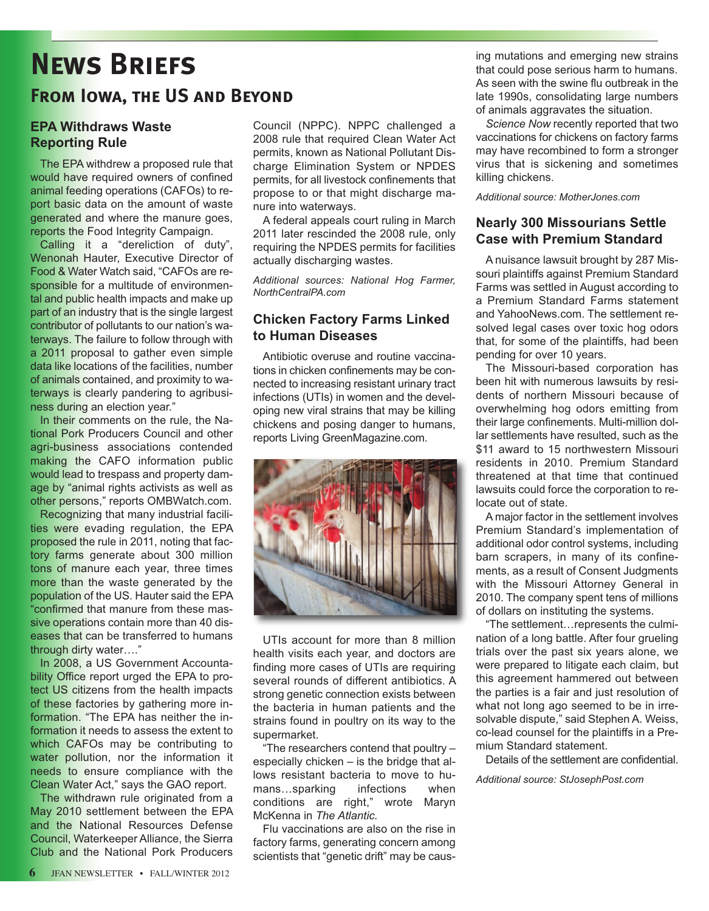# **News Briefs**

### **From Iowa, the US and Beyond**

### **EPA Withdraws Waste Reporting Rule**

The EPA withdrew a proposed rule that would have required owners of confined animal feeding operations (CAFOs) to report basic data on the amount of waste generated and where the manure goes, reports the Food Integrity Campaign.

Calling it a "dereliction of duty", Wenonah Hauter, Executive Director of Food & Water Watch said, "CAFOs are responsible for a multitude of environmental and public health impacts and make up part of an industry that is the single largest contributor of pollutants to our nation's waterways. The failure to follow through with a 2011 proposal to gather even simple data like locations of the facilities, number of animals contained, and proximity to waterways is clearly pandering to agribusiness during an election year."

In their comments on the rule, the National Pork Producers Council and other agri-business associations contended making the CAFO information public would lead to trespass and property damage by "animal rights activists as well as other persons," reports OMBWatch.com.

Recognizing that many industrial facilities were evading regulation, the EPA proposed the rule in 2011, noting that factory farms generate about 300 million tons of manure each year, three times more than the waste generated by the population of the US. Hauter said the EPA "confirmed that manure from these massive operations contain more than 40 diseases that can be transferred to humans through dirty water…."

In 2008, a US Government Accountability Office report urged the EPA to protect US citizens from the health impacts of these factories by gathering more information. "The EPA has neither the information it needs to assess the extent to which CAFOs may be contributing to water pollution, nor the information it needs to ensure compliance with the Clean Water Act," says the GAO report.

The withdrawn rule originated from a May 2010 settlement between the EPA and the National Resources Defense Council, Waterkeeper Alliance, the Sierra Club and the National Pork Producers

Council (NPPC). NPPC challenged a 2008 rule that required Clean Water Act permits, known as National Pollutant Discharge Elimination System or NPDES permits, for all livestock confinements that propose to or that might discharge manure into waterways.

A federal appeals court ruling in March 2011 later rescinded the 2008 rule, only requiring the NPDES permits for facilities actually discharging wastes.

*Additional sources: National Hog Farmer, NorthCentralPA.com*

### **Chicken Factory Farms Linked to Human Diseases**

Antibiotic overuse and routine vaccinations in chicken confinements may be connected to increasing resistant urinary tract infections (UTIs) in women and the developing new viral strains that may be killing chickens and posing danger to humans, reports Living GreenMagazine.com.



UTIs account for more than 8 million health visits each year, and doctors are finding more cases of UTIs are requiring several rounds of different antibiotics. A strong genetic connection exists between the bacteria in human patients and the strains found in poultry on its way to the supermarket.

"The researchers contend that poultry – especially chicken – is the bridge that allows resistant bacteria to move to humans...sparking infections when conditions are right," wrote Maryn McKenna in *The Atlantic.*

Flu vaccinations are also on the rise in factory farms, generating concern among scientists that "genetic drift" may be causing mutations and emerging new strains that could pose serious harm to humans. As seen with the swine flu outbreak in the late 1990s, consolidating large numbers of animals aggravates the situation.

*Science Now* recently reported that two vaccinations for chickens on factory farms may have recombined to form a stronger virus that is sickening and sometimes killing chickens.

*Additional source: MotherJones.com*

### **Nearly 300 Missourians Settle Case with Premium Standard**

A nuisance lawsuit brought by 287 Missouri plaintiffs against Premium Standard Farms was settled in August according to a Premium Standard Farms statement and YahooNews.com. The settlement resolved legal cases over toxic hog odors that, for some of the plaintiffs, had been pending for over 10 years.

The Missouri-based corporation has been hit with numerous lawsuits by residents of northern Missouri because of overwhelming hog odors emitting from their large confinements. Multi-million dollar settlements have resulted, such as the \$11 award to 15 northwestern Missouri residents in 2010. Premium Standard threatened at that time that continued lawsuits could force the corporation to relocate out of state.

A major factor in the settlement involves Premium Standard's implementation of additional odor control systems, including barn scrapers, in many of its confinements, as a result of Consent Judgments with the Missouri Attorney General in 2010. The company spent tens of millions of dollars on instituting the systems.

"The settlement…represents the culmination of a long battle. After four grueling trials over the past six years alone, we were prepared to litigate each claim, but this agreement hammered out between the parties is a fair and just resolution of what not long ago seemed to be in irresolvable dispute," said Stephen A. Weiss, co-lead counsel for the plaintiffs in a Premium Standard statement.

Details of the settlement are confidential.

*Additional source: StJosephPost.com*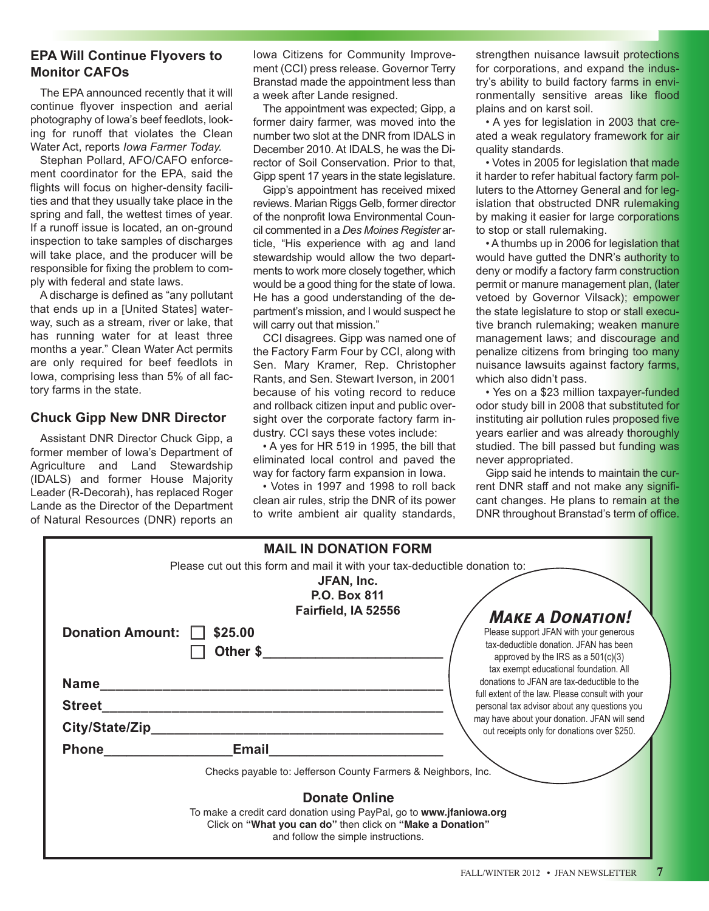### **EPA Will Continue Flyovers to Monitor CAFOs**

The EPA announced recently that it will continue flyover inspection and aerial photography of Iowa's beef feedlots, looking for runoff that violates the Clean Water Act, reports *Iowa Farmer Today.*

Stephan Pollard, AFO/CAFO enforcement coordinator for the EPA, said the flights will focus on higher-density facilities and that they usually take place in the spring and fall, the wettest times of year. If a runoff issue is located, an on-ground inspection to take samples of discharges will take place, and the producer will be responsible for fixing the problem to comply with federal and state laws.

A discharge is defined as "any pollutant that ends up in a [United States] waterway, such as a stream, river or lake, that has running water for at least three months a year." Clean Water Act permits are only required for beef feedlots in Iowa, comprising less than 5% of all factory farms in the state.

### **Chuck Gipp New DNR Director**

Assistant DNR Director Chuck Gipp, a former member of Iowa's Department of Agriculture and Land Stewardship (IDALS) and former House Majority Leader (R-Decorah), has replaced Roger Lande as the Director of the Department of Natural Resources (DNR) reports an

Iowa Citizens for Community Improvement (CCI) press release. Governor Terry Branstad made the appointment less than a week after Lande resigned.

The appointment was expected; Gipp, a former dairy farmer, was moved into the number two slot at the DNR from IDALS in December 2010. At IDALS, he was the Director of Soil Conservation. Prior to that, Gipp spent 17 years in the state legislature.

Gipp's appointment has received mixed reviews. Marian Riggs Gelb, former director of the nonprofit Iowa Environmental Council commented in a *Des Moines Register* article, "His experience with ag and land stewardship would allow the two departments to work more closely together, which would be a good thing for the state of Iowa. He has a good understanding of the department's mission, and I would suspect he will carry out that mission."

CCI disagrees. Gipp was named one of the Factory Farm Four by CCI, along with Sen. Mary Kramer, Rep. Christopher Rants, and Sen. Stewart Iverson, in 2001 because of his voting record to reduce and rollback citizen input and public oversight over the corporate factory farm industry. CCI says these votes include:

• A yes for HR 519 in 1995, the bill that eliminated local control and paved the way for factory farm expansion in Iowa.

• Votes in 1997 and 1998 to roll back clean air rules, strip the DNR of its power to write ambient air quality standards, strengthen nuisance lawsuit protections for corporations, and expand the industry's ability to build factory farms in environmentally sensitive areas like flood plains and on karst soil.

• A yes for legislation in 2003 that created a weak regulatory framework for air quality standards.

• Votes in 2005 for legislation that made it harder to refer habitual factory farm polluters to the Attorney General and for legislation that obstructed DNR rulemaking by making it easier for large corporations to stop or stall rulemaking.

• A thumbs up in 2006 for legislation that would have gutted the DNR's authority to deny or modify a factory farm construction permit or manure management plan, (later vetoed by Governor Vilsack); empower the state legislature to stop or stall executive branch rulemaking; weaken manure management laws; and discourage and penalize citizens from bringing too many nuisance lawsuits against factory farms, which also didn't pass.

• Yes on a \$23 million taxpayer-funded odor study bill in 2008 that substituted for instituting air pollution rules proposed five years earlier and was already thoroughly studied. The bill passed but funding was never appropriated.

Gipp said he intends to maintain the current DNR staff and not make any significant changes. He plans to remain at the DNR throughout Branstad's term of office.

|                                                 | <b>MAIL IN DONATION FORM</b>                                                                                                                                                                     |                                                                                                                                                                                                                                                                                          |  |
|-------------------------------------------------|--------------------------------------------------------------------------------------------------------------------------------------------------------------------------------------------------|------------------------------------------------------------------------------------------------------------------------------------------------------------------------------------------------------------------------------------------------------------------------------------------|--|
| <b>Donation Amount:</b>                         | Please cut out this form and mail it with your tax-deductible donation to:<br>JFAN, Inc.<br><b>P.O. Box 811</b><br>Fairfield, IA 52556<br>\$25.00<br>Other \$                                    | <b>MAKE A DONATION!</b><br>Please support JFAN with your generous<br>tax-deductible donation. JFAN has been<br>approved by the IRS as a $501(c)(3)$                                                                                                                                      |  |
| <b>Name</b><br><b>Street</b><br>City/State/Zip_ | <u> 1989 - Johann John Stone, markin film yn y system yn y system yn y system yn y system yn y system yn y system</u>                                                                            | tax exempt educational foundation. All<br>donations to JFAN are tax-deductible to the<br>full extent of the law. Please consult with your<br>personal tax advisor about any questions you<br>may have about your donation. JFAN will send<br>out receipts only for donations over \$250. |  |
| <b>Phone</b>                                    | <b>Email</b><br>Checks payable to: Jefferson County Farmers & Neighbors, Inc.                                                                                                                    |                                                                                                                                                                                                                                                                                          |  |
|                                                 | <b>Donate Online</b><br>To make a credit card donation using PayPal, go to www.jfaniowa.org<br>Click on "What you can do" then click on "Make a Donation"<br>and follow the simple instructions. |                                                                                                                                                                                                                                                                                          |  |